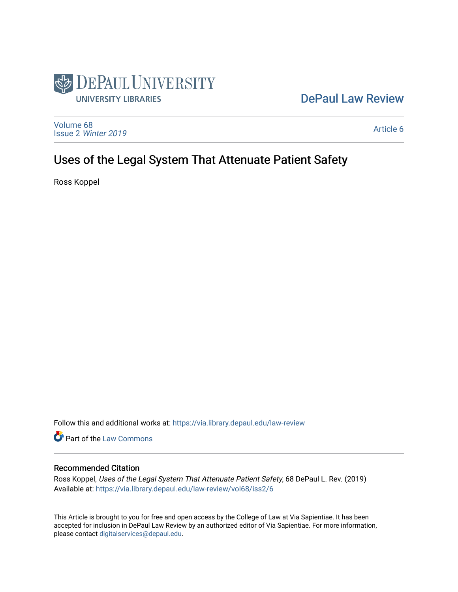

# [DePaul Law Review](https://via.library.depaul.edu/law-review)

[Volume 68](https://via.library.depaul.edu/law-review/vol68) Issue 2 [Winter 2019](https://via.library.depaul.edu/law-review/vol68/iss2) 

[Article 6](https://via.library.depaul.edu/law-review/vol68/iss2/6) 

# Uses of the Legal System That Attenuate Patient Safety

Ross Koppel

Follow this and additional works at: [https://via.library.depaul.edu/law-review](https://via.library.depaul.edu/law-review?utm_source=via.library.depaul.edu%2Flaw-review%2Fvol68%2Fiss2%2F6&utm_medium=PDF&utm_campaign=PDFCoverPages) 

Part of the [Law Commons](http://network.bepress.com/hgg/discipline/578?utm_source=via.library.depaul.edu%2Flaw-review%2Fvol68%2Fiss2%2F6&utm_medium=PDF&utm_campaign=PDFCoverPages)

# Recommended Citation

Ross Koppel, Uses of the Legal System That Attenuate Patient Safety, 68 DePaul L. Rev. (2019) Available at: [https://via.library.depaul.edu/law-review/vol68/iss2/6](https://via.library.depaul.edu/law-review/vol68/iss2/6?utm_source=via.library.depaul.edu%2Flaw-review%2Fvol68%2Fiss2%2F6&utm_medium=PDF&utm_campaign=PDFCoverPages) 

This Article is brought to you for free and open access by the College of Law at Via Sapientiae. It has been accepted for inclusion in DePaul Law Review by an authorized editor of Via Sapientiae. For more information, please contact [digitalservices@depaul.edu.](mailto:digitalservices@depaul.edu)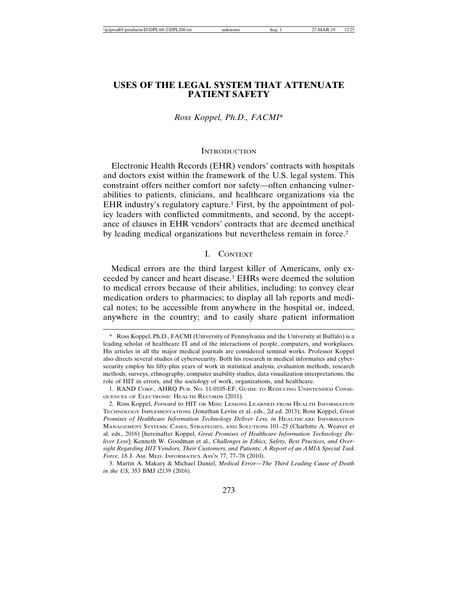# **USES OF THE LEGAL SYSTEM THAT ATTENUATE PATIENT SAFETY**

#### *Ross Koppel, Ph.D., FACMI*\*

#### **INTRODUCTION**

Electronic Health Records (EHR) vendors' contracts with hospitals and doctors exist within the framework of the U.S. legal system. This constraint offers neither comfort nor safety—often enhancing vulnerabilities to patients, clinicians, and healthcare organizations via the EHR industry's regulatory capture.<sup>1</sup> First, by the appointment of policy leaders with conflicted commitments, and second, by the acceptance of clauses in EHR vendors' contracts that are deemed unethical by leading medical organizations but nevertheless remain in force.2

#### I. CONTEXT

Medical errors are the third largest killer of Americans, only exceeded by cancer and heart disease.3 EHRs were deemed the solution to medical errors because of their abilities, including: to convey clear medication orders to pharmacies; to display all lab reports and medical notes; to be accessible from anywhere in the hospital or, indeed, anywhere in the country; and to easily share patient information

<sup>\*</sup> Ross Koppel, Ph.D., FACMI (University of Pennsylvania and the University at Buffalo) is a leading scholar of healthcare IT and of the interactions of people, computers, and workplaces. His articles in all the major medical journals are considered seminal works. Professor Koppel also directs several studies of cybersecurity. Both his research in medical informatics and cybersecurity employ his fifty-plus years of work in statistical analysis, evaluation methods, research methods, surveys, ethnography, computer usability studies, data visualization interpretations, the role of HIT in errors, and the sociology of work, organizations, and healthcare.

<sup>1.</sup> RAND CORP., AHRQ PUB. NO. 11-0105-EF, GUIDE TO REDUCING UNINTENDED CONSE-QUENCES OF ELECTRONIC HEALTH RECORDS (2011).

<sup>2.</sup> Ross Koppel, *Forward* to HIT OR MISS: LESSONS LEARNED FROM HEALTH INFORMATION TECHNOLOGY IMPLEMENTATIONS (Jonathan Leviss et al. eds., 2d ed. 2013); Ross Koppel, *Great Promises of Healthcare Information Technology Deliver Less, in* HEALTHCARE INFORMATION MANAGEMENT SYSTEMS: CASES, STRATEGIES, AND SOLUTIONS 101–25 (Charlotte A. Weaver et al. eds., 2016) [hereinafter Koppel, *Great Promises of Healthcare Information Technology Deliver Less*]; Kenneth W. Goodman et al., *Challenges in Ethics, Safety, Best Practices, and Oversight Regarding HIT Vendors, Their Customers, and Patients: A Report of an AMIA Special Task Force*, 18 J. AM. MED. INFORMATICS ASS'N 77, 77–78 (2010).

<sup>3.</sup> Martin A. Makary & Michael Daniel, *Medical Error—The Third Leading Cause of Death in the US*, 353 BMJ i2139 (2016).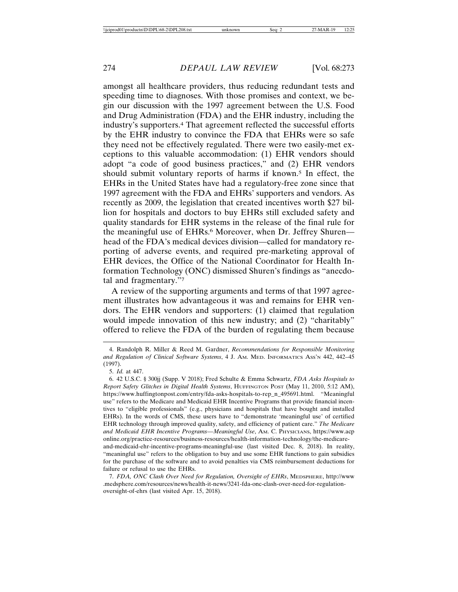amongst all healthcare providers, thus reducing redundant tests and speeding time to diagnoses. With those promises and context, we begin our discussion with the 1997 agreement between the U.S. Food and Drug Administration (FDA) and the EHR industry, including the industry's supporters.4 That agreement reflected the successful efforts by the EHR industry to convince the FDA that EHRs were so safe they need not be effectively regulated. There were two easily-met exceptions to this valuable accommodation: (1) EHR vendors should adopt "a code of good business practices," and (2) EHR vendors should submit voluntary reports of harms if known.<sup>5</sup> In effect, the EHRs in the United States have had a regulatory-free zone since that 1997 agreement with the FDA and EHRs' supporters and vendors. As recently as 2009, the legislation that created incentives worth \$27 billion for hospitals and doctors to buy EHRs still excluded safety and quality standards for EHR systems in the release of the final rule for the meaningful use of EHRs.<sup>6</sup> Moreover, when Dr. Jeffrey Shuren head of the FDA's medical devices division—called for mandatory reporting of adverse events, and required pre-marketing approval of EHR devices, the Office of the National Coordinator for Health Information Technology (ONC) dismissed Shuren's findings as "anecdotal and fragmentary."7

A review of the supporting arguments and terms of that 1997 agreement illustrates how advantageous it was and remains for EHR vendors. The EHR vendors and supporters: (1) claimed that regulation would impede innovation of this new industry; and (2) "charitably" offered to relieve the FDA of the burden of regulating them because

<sup>4.</sup> Randolph R. Miller & Reed M. Gardner, *Recommendations for Responsible Monitoring and Regulation of Clinical Software Systems*, 4 J. AM. MED. INFORMATICS ASS'N 442, 442–45 (1997).

<sup>5.</sup> *Id.* at 447.

<sup>6. 42</sup> U.S.C. § 300jj (Supp. V 2018); Fred Schulte & Emma Schwartz, *FDA Asks Hospitals to Report Safety Glitches in Digital Health Systems*, HUFFINGTON POST (May 11, 2010, 5:12 AM), https://www.huffingtonpost.com/entry/fda-asks-hospitals-to-rep\_n\_495691.html. "Meaningful use" refers to the Medicare and Medicaid EHR Incentive Programs that provide financial incentives to "eligible professionals" (e.g., physicians and hospitals that have bought and installed EHRs). In the words of CMS, these users have to "demonstrate 'meaningful use' of certified EHR technology through improved quality, safety, and efficiency of patient care." *The Medicare and Medicaid EHR Incentive Programs—Meaningful Use*, AM. C. PHYSICIANS, https://www.acp online.org/practice-resources/business-resources/health-information-technology/the-medicareand-medicaid-ehr-incentive-programs-meaningful-use (last visited Dec. 8, 2018). In reality, "meaningful use" refers to the obligation to buy and use some EHR functions to gain subsidies for the purchase of the software and to avoid penalties via CMS reimbursement deductions for failure or refusal to use the EHRs.

<sup>7.</sup> *FDA, ONC Clash Over Need for Regulation, Oversight of EHRs*, MEDSPHERE, http://www .medsphere.com/resources/news/health-it-news/3241-fda-onc-clash-over-need-for-regulationoversight-of-ehrs (last visited Apr. 15, 2018).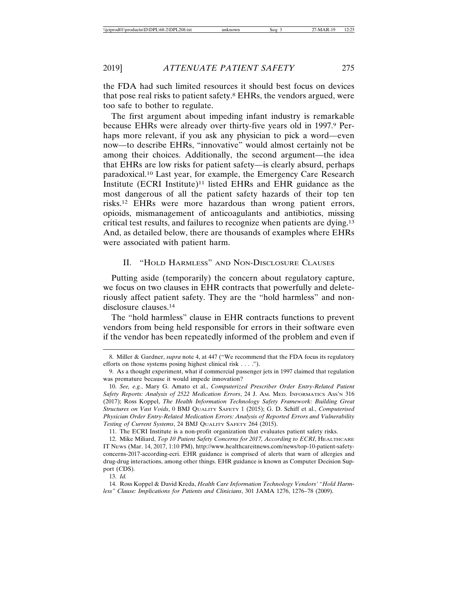the FDA had such limited resources it should best focus on devices that pose real risks to patient safety.8 EHRs, the vendors argued, were too safe to bother to regulate.

The first argument about impeding infant industry is remarkable because EHRs were already over thirty-five years old in 1997.9 Perhaps more relevant, if you ask any physician to pick a word—even now—to describe EHRs, "innovative" would almost certainly not be among their choices. Additionally, the second argument—the idea that EHRs are low risks for patient safety—is clearly absurd, perhaps paradoxical.10 Last year, for example, the Emergency Care Research Institute (ECRI Institute)11 listed EHRs and EHR guidance as the most dangerous of all the patient safety hazards of their top ten risks.12 EHRs were more hazardous than wrong patient errors, opioids, mismanagement of anticoagulants and antibiotics, missing critical test results, and failures to recognize when patients are dying.13 And, as detailed below, there are thousands of examples where EHRs were associated with patient harm.

# II. "HOLD HARMLESS" AND NON-DISCLOSURE CLAUSES

Putting aside (temporarily) the concern about regulatory capture, we focus on two clauses in EHR contracts that powerfully and deleteriously affect patient safety. They are the "hold harmless" and nondisclosure clauses.14

The "hold harmless" clause in EHR contracts functions to prevent vendors from being held responsible for errors in their software even if the vendor has been repeatedly informed of the problem and even if

11. The ECRI Institute is a non-profit organization that evaluates patient safety risks.

12. Mike Miliard, *Top 10 Patient Safety Concerns for 2017, According to ECRI*, HEALTHCARE IT NEWS (Mar. 14, 2017, 1:10 PM), http://www.healthcareitnews.com/news/top-10-patient-safetyconcerns-2017-according-ecri. EHR guidance is comprised of alerts that warn of allergies and drug-drug interactions, among other things. EHR guidance is known as Computer Decision Support (CDS).

13. *Id.*

14. Ross Koppel & David Kreda, *Health Care Information Technology Vendors' "Hold Harmless" Clause: Implications for Patients and Clinicians*, 301 JAMA 1276, 1276–78 (2009).

<sup>8.</sup> Miller & Gardner, *supra* note 4, at 447 ("We recommend that the FDA focus its regulatory efforts on those systems posing highest clinical risk . . . .").

<sup>9.</sup> As a thought experiment, what if commercial passenger jets in 1997 claimed that regulation was premature because it would impede innovation?

<sup>10.</sup> *See, e.g.*, Mary G. Amato et al., *Computerized Prescriber Order Entry-Related Patient Safety Reports: Analysis of 2522 Medication Errors*, 24 J. AM. MED. INFORMATICS ASS'N 316 (2017); Ross Koppel, *The Health Information Technology Safety Framework: Building Great Structures on Vast Voids*, 0 BMJ QUALITY SAFETY 1 (2015); G. D. Schiff et al., *Computerised Physician Order Entry-Related Medication Errors: Analysis of Reported Errors and Vulnerability Testing of Current Systems*, 24 BMJ QUALITY SAFETY 264 (2015).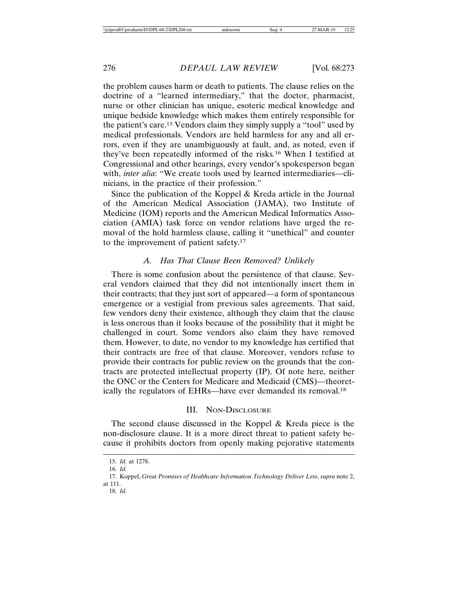the problem causes harm or death to patients. The clause relies on the doctrine of a "learned intermediary," that the doctor, pharmacist, nurse or other clinician has unique, esoteric medical knowledge and unique bedside knowledge which makes them entirely responsible for the patient's care.15 Vendors claim they simply supply a "tool" used by medical professionals. Vendors are held harmless for any and all errors, even if they are unambiguously at fault, and, as noted, even if they've been repeatedly informed of the risks.16 When I testified at Congressional and other hearings, every vendor's spokesperson began with, *inter alia*: "We create tools used by learned intermediaries—clinicians, in the practice of their profession."

Since the publication of the Koppel & Kreda article in the Journal of the American Medical Association (JAMA), two Institute of Medicine (IOM) reports and the American Medical Informatics Association (AMIA) task force on vendor relations have urged the removal of the hold harmless clause, calling it "unethical" and counter to the improvement of patient safety.17

#### *A. Has That Clause Been Removed? Unlikely*

There is some confusion about the persistence of that clause. Several vendors claimed that they did not intentionally insert them in their contracts; that they just sort of appeared—a form of spontaneous emergence or a vestigial from previous sales agreements. That said, few vendors deny their existence, although they claim that the clause is less onerous than it looks because of the possibility that it might be challenged in court. Some vendors also claim they have removed them. However, to date, no vendor to my knowledge has certified that their contracts are free of that clause. Moreover, vendors refuse to provide their contracts for public review on the grounds that the contracts are protected intellectual property (IP). Of note here, neither the ONC or the Centers for Medicare and Medicaid (CMS)—theoretically the regulators of EHRs—have ever demanded its removal.18

# III. NON-DISCLOSURE

The second clause discussed in the Koppel & Kreda piece is the non-disclosure clause. It is a more direct threat to patient safety because it prohibits doctors from openly making pejorative statements

<sup>15.</sup> *Id.* at 1278.

<sup>16.</sup> *Id.*

<sup>17.</sup> Koppel, *Great Promises of Healthcare Information Technology Deliver Less*, *supra* note 2, at 111.

<sup>18.</sup> *Id.*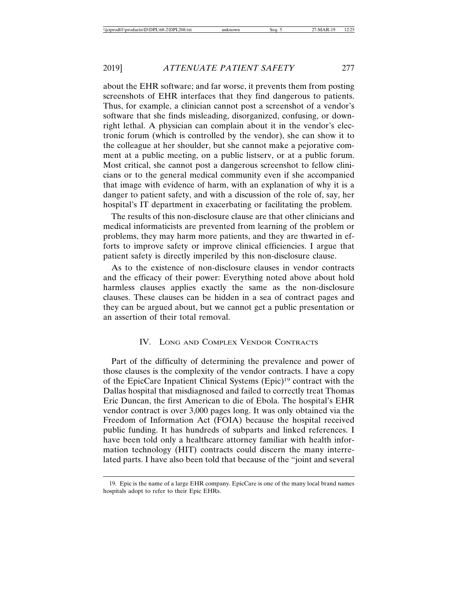about the EHR software; and far worse, it prevents them from posting screenshots of EHR interfaces that they find dangerous to patients. Thus, for example, a clinician cannot post a screenshot of a vendor's software that she finds misleading, disorganized, confusing, or downright lethal. A physician can complain about it in the vendor's electronic forum (which is controlled by the vendor), she can show it to the colleague at her shoulder, but she cannot make a pejorative comment at a public meeting, on a public listserv, or at a public forum. Most critical, she cannot post a dangerous screenshot to fellow clinicians or to the general medical community even if she accompanied that image with evidence of harm, with an explanation of why it is a danger to patient safety, and with a discussion of the role of, say, her hospital's IT department in exacerbating or facilitating the problem.

The results of this non-disclosure clause are that other clinicians and medical informaticists are prevented from learning of the problem or problems, they may harm more patients, and they are thwarted in efforts to improve safety or improve clinical efficiencies. I argue that patient safety is directly imperiled by this non-disclosure clause.

As to the existence of non-disclosure clauses in vendor contracts and the efficacy of their power: Everything noted above about hold harmless clauses applies exactly the same as the non-disclosure clauses. These clauses can be hidden in a sea of contract pages and they can be argued about, but we cannot get a public presentation or an assertion of their total removal.

# IV. LONG AND COMPLEX VENDOR CONTRACTS

Part of the difficulty of determining the prevalence and power of those clauses is the complexity of the vendor contracts. I have a copy of the EpicCare Inpatient Clinical Systems (Epic)19 contract with the Dallas hospital that misdiagnosed and failed to correctly treat Thomas Eric Duncan, the first American to die of Ebola. The hospital's EHR vendor contract is over 3,000 pages long. It was only obtained via the Freedom of Information Act (FOIA) because the hospital received public funding. It has hundreds of subparts and linked references. I have been told only a healthcare attorney familiar with health information technology (HIT) contracts could discern the many interrelated parts. I have also been told that because of the "joint and several

<sup>19.</sup> Epic is the name of a large EHR company. EpicCare is one of the many local brand names hospitals adopt to refer to their Epic EHRs.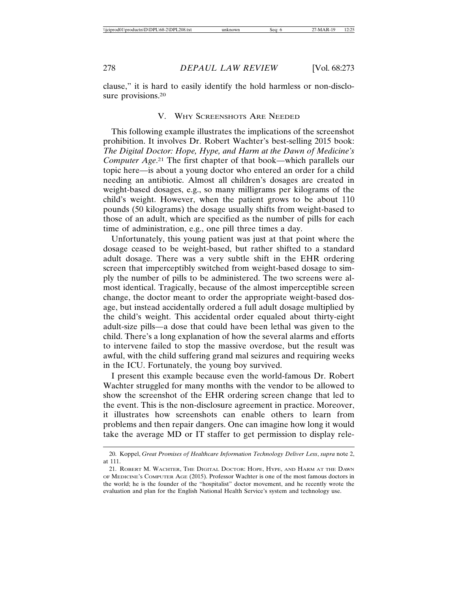clause," it is hard to easily identify the hold harmless or non-disclosure provisions.<sup>20</sup>

# V. WHY SCREENSHOTS ARE NEEDED

This following example illustrates the implications of the screenshot prohibition. It involves Dr. Robert Wachter's best-selling 2015 book: *The Digital Doctor: Hope, Hype, and Harm at the Dawn of Medicine's Computer Age*. 21 The first chapter of that book—which parallels our topic here—is about a young doctor who entered an order for a child needing an antibiotic. Almost all children's dosages are created in weight-based dosages, e.g., so many milligrams per kilograms of the child's weight. However, when the patient grows to be about 110 pounds (50 kilograms) the dosage usually shifts from weight-based to those of an adult, which are specified as the number of pills for each time of administration, e.g., one pill three times a day.

Unfortunately, this young patient was just at that point where the dosage ceased to be weight-based, but rather shifted to a standard adult dosage. There was a very subtle shift in the EHR ordering screen that imperceptibly switched from weight-based dosage to simply the number of pills to be administered. The two screens were almost identical. Tragically, because of the almost imperceptible screen change, the doctor meant to order the appropriate weight-based dosage, but instead accidentally ordered a full adult dosage multiplied by the child's weight. This accidental order equaled about thirty-eight adult-size pills—a dose that could have been lethal was given to the child. There's a long explanation of how the several alarms and efforts to intervene failed to stop the massive overdose, but the result was awful, with the child suffering grand mal seizures and requiring weeks in the ICU. Fortunately, the young boy survived.

I present this example because even the world-famous Dr. Robert Wachter struggled for many months with the vendor to be allowed to show the screenshot of the EHR ordering screen change that led to the event. This is the non-disclosure agreement in practice. Moreover, it illustrates how screenshots can enable others to learn from problems and then repair dangers. One can imagine how long it would take the average MD or IT staffer to get permission to display rele-

<sup>20.</sup> Koppel, *Great Promises of Healthcare Information Technology Deliver Less*, *supra* note 2, at 111.

<sup>21.</sup> ROBERT M. WACHTER, THE DIGITAL DOCTOR: HOPE, HYPE, AND HARM AT THE DAWN OF MEDICINE'S COMPUTER AGE (2015). Professor Wachter is one of the most famous doctors in the world; he is the founder of the "hospitalist" doctor movement, and he recently wrote the evaluation and plan for the English National Health Service's system and technology use.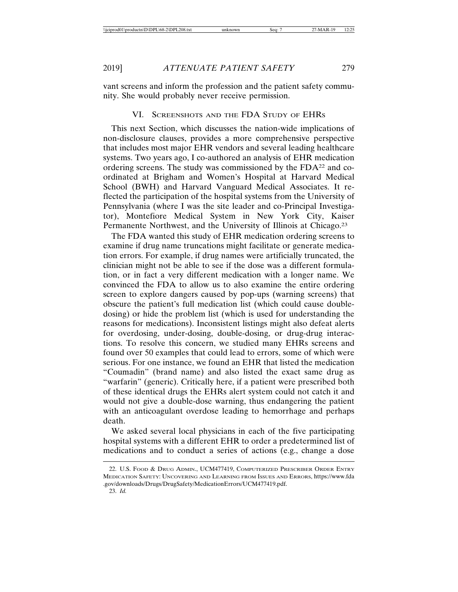vant screens and inform the profession and the patient safety community. She would probably never receive permission.

# VI. SCREENSHOTS AND THE FDA STUDY OF EHRS

This next Section, which discusses the nation-wide implications of non-disclosure clauses, provides a more comprehensive perspective that includes most major EHR vendors and several leading healthcare systems. Two years ago, I co-authored an analysis of EHR medication ordering screens. The study was commissioned by the FDA22 and coordinated at Brigham and Women's Hospital at Harvard Medical School (BWH) and Harvard Vanguard Medical Associates. It reflected the participation of the hospital systems from the University of Pennsylvania (where I was the site leader and co-Principal Investigator), Montefiore Medical System in New York City, Kaiser Permanente Northwest, and the University of Illinois at Chicago.23

The FDA wanted this study of EHR medication ordering screens to examine if drug name truncations might facilitate or generate medication errors. For example, if drug names were artificially truncated, the clinician might not be able to see if the dose was a different formulation, or in fact a very different medication with a longer name. We convinced the FDA to allow us to also examine the entire ordering screen to explore dangers caused by pop-ups (warning screens) that obscure the patient's full medication list (which could cause doubledosing) or hide the problem list (which is used for understanding the reasons for medications). Inconsistent listings might also defeat alerts for overdosing, under-dosing, double-dosing, or drug-drug interactions. To resolve this concern, we studied many EHRs screens and found over 50 examples that could lead to errors, some of which were serious. For one instance, we found an EHR that listed the medication "Coumadin" (brand name) and also listed the exact same drug as "warfarin" (generic). Critically here, if a patient were prescribed both of these identical drugs the EHRs alert system could not catch it and would not give a double-dose warning, thus endangering the patient with an anticoagulant overdose leading to hemorrhage and perhaps death.

We asked several local physicians in each of the five participating hospital systems with a different EHR to order a predetermined list of medications and to conduct a series of actions (e.g., change a dose

<sup>22.</sup> U.S. FOOD & DRUG ADMIN., UCM477419, COMPUTERIZED PRESCRIBER ORDER ENTRY MEDICATION SAFETY: UNCOVERING AND LEARNING FROM ISSUES AND ERRORS, https://www.fda .gov/downloads/Drugs/DrugSafety/MedicationErrors/UCM477419.pdf. 23. *Id.*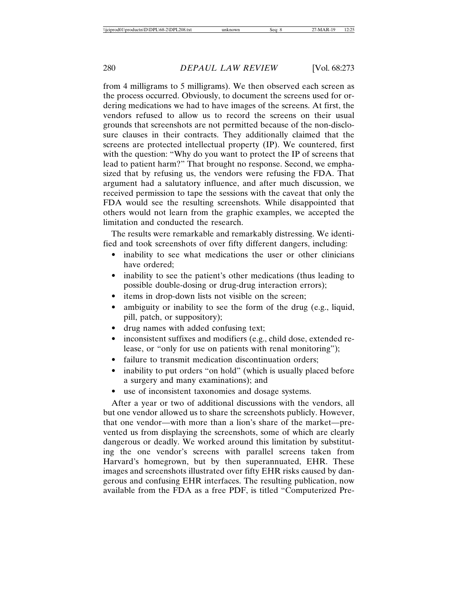from 4 milligrams to 5 milligrams). We then observed each screen as the process occurred. Obviously, to document the screens used for ordering medications we had to have images of the screens. At first, the vendors refused to allow us to record the screens on their usual grounds that screenshots are not permitted because of the non-disclosure clauses in their contracts. They additionally claimed that the screens are protected intellectual property (IP). We countered, first with the question: "Why do you want to protect the IP of screens that lead to patient harm?" That brought no response. Second, we emphasized that by refusing us, the vendors were refusing the FDA. That argument had a salutatory influence, and after much discussion, we received permission to tape the sessions with the caveat that only the FDA would see the resulting screenshots. While disappointed that others would not learn from the graphic examples, we accepted the limitation and conducted the research.

The results were remarkable and remarkably distressing. We identified and took screenshots of over fifty different dangers, including:

- inability to see what medications the user or other clinicians have ordered;
- inability to see the patient's other medications (thus leading to possible double-dosing or drug-drug interaction errors);
- items in drop-down lists not visible on the screen;
- ambiguity or inability to see the form of the drug (e.g., liquid, pill, patch, or suppository);
- drug names with added confusing text;
- inconsistent suffixes and modifiers (e.g., child dose, extended release, or "only for use on patients with renal monitoring");
- failure to transmit medication discontinuation orders;
- inability to put orders "on hold" (which is usually placed before a surgery and many examinations); and
- use of inconsistent taxonomies and dosage systems.

After a year or two of additional discussions with the vendors, all but one vendor allowed us to share the screenshots publicly. However, that one vendor—with more than a lion's share of the market—prevented us from displaying the screenshots, some of which are clearly dangerous or deadly. We worked around this limitation by substituting the one vendor's screens with parallel screens taken from Harvard's homegrown, but by then superannuated, EHR. These images and screenshots illustrated over fifty EHR risks caused by dangerous and confusing EHR interfaces. The resulting publication, now available from the FDA as a free PDF, is titled "Computerized Pre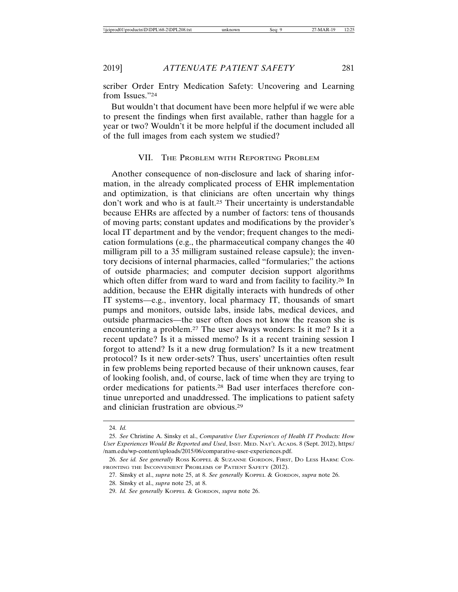scriber Order Entry Medication Safety: Uncovering and Learning from Issues."24

But wouldn't that document have been more helpful if we were able to present the findings when first available, rather than haggle for a year or two? Wouldn't it be more helpful if the document included all of the full images from each system we studied?

#### VII. THE PROBLEM WITH REPORTING PROBLEM

Another consequence of non-disclosure and lack of sharing information, in the already complicated process of EHR implementation and optimization, is that clinicians are often uncertain why things don't work and who is at fault.<sup>25</sup> Their uncertainty is understandable because EHRs are affected by a number of factors: tens of thousands of moving parts; constant updates and modifications by the provider's local IT department and by the vendor; frequent changes to the medication formulations (e.g., the pharmaceutical company changes the 40 milligram pill to a 35 milligram sustained release capsule); the inventory decisions of internal pharmacies, called "formularies;" the actions of outside pharmacies; and computer decision support algorithms which often differ from ward to ward and from facility to facility.<sup>26</sup> In addition, because the EHR digitally interacts with hundreds of other IT systems—e.g., inventory, local pharmacy IT, thousands of smart pumps and monitors, outside labs, inside labs, medical devices, and outside pharmacies—the user often does not know the reason she is encountering a problem.27 The user always wonders: Is it me? Is it a recent update? Is it a missed memo? Is it a recent training session I forgot to attend? Is it a new drug formulation? Is it a new treatment protocol? Is it new order-sets? Thus, users' uncertainties often result in few problems being reported because of their unknown causes, fear of looking foolish, and, of course, lack of time when they are trying to order medications for patients.28 Bad user interfaces therefore continue unreported and unaddressed. The implications to patient safety and clinician frustration are obvious.29

<sup>24.</sup> *Id.*

<sup>25.</sup> *See* Christine A. Sinsky et al., *Comparative User Experiences of Health IT Products: How User Experiences Would Be Reported and Used*, INST. MED. NAT'L ACADS. 8 (Sept. 2012), https:/ /nam.edu/wp-content/uploads/2015/06/comparative-user-experiences.pdf.

<sup>26.</sup> *See id. See generally* ROSS KOPPEL & SUZANNE GORDON, FIRST, DO LESS HARM: CON-FRONTING THE INCONVENIENT PROBLEMS OF PATIENT SAFETY (2012).

<sup>27.</sup> Sinsky et al., *supra* note 25, at 8. *See generally* KOPPEL & GORDON, *supra* note 26.

<sup>28.</sup> Sinsky et al., *supra* note 25, at 8.

<sup>29.</sup> *Id. See generally* KOPPEL & GORDON, *supra* note 26.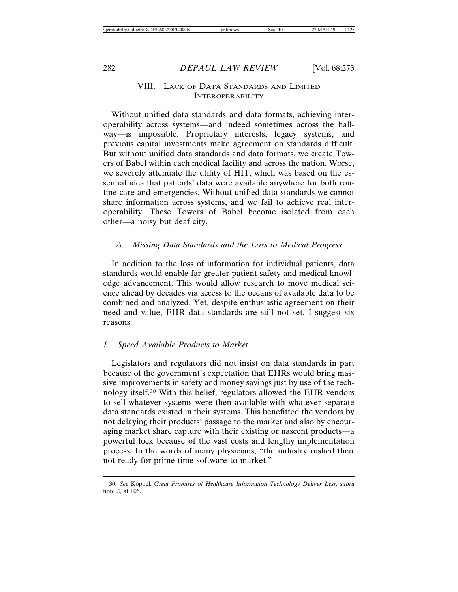# VIII. LACK OF DATA STANDARDS AND LIMITED INTEROPERABILITY

Without unified data standards and data formats, achieving interoperability across systems—and indeed sometimes across the hallway—is impossible. Proprietary interests, legacy systems, and previous capital investments make agreement on standards difficult. But without unified data standards and data formats, we create Towers of Babel within each medical facility and across the nation. Worse, we severely attenuate the utility of HIT, which was based on the essential idea that patients' data were available anywhere for both routine care and emergencies. Without unified data standards we cannot share information across systems, and we fail to achieve real interoperability. These Towers of Babel become isolated from each other—a noisy but deaf city.

# *A. Missing Data Standards and the Loss to Medical Progress*

In addition to the loss of information for individual patients, data standards would enable far greater patient safety and medical knowledge advancement. This would allow research to move medical science ahead by decades via access to the oceans of available data to be combined and analyzed. Yet, despite enthusiastic agreement on their need and value, EHR data standards are still not set. I suggest six reasons:

# *1. Speed Available Products to Market*

Legislators and regulators did not insist on data standards in part because of the government's expectation that EHRs would bring massive improvements in safety and money savings just by use of the technology itself.30 With this belief, regulators allowed the EHR vendors to sell whatever systems were then available with whatever separate data standards existed in their systems. This benefitted the vendors by not delaying their products' passage to the market and also by encouraging market share capture with their existing or nascent products—a powerful lock because of the vast costs and lengthy implementation process. In the words of many physicians, "the industry rushed their not-ready-for-prime-time software to market."

<sup>30.</sup> *See* Koppel, *Great Promises of Healthcare Information Technology Deliver Less*, *supra* note 2, at 106.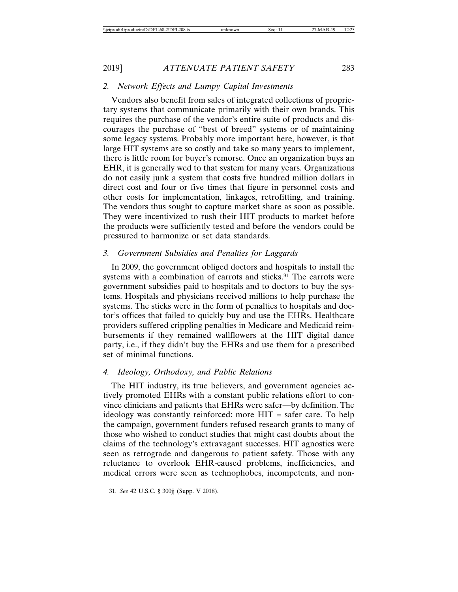# *2. Network Effects and Lumpy Capital Investments*

Vendors also benefit from sales of integrated collections of proprietary systems that communicate primarily with their own brands. This requires the purchase of the vendor's entire suite of products and discourages the purchase of "best of breed" systems or of maintaining some legacy systems. Probably more important here, however, is that large HIT systems are so costly and take so many years to implement, there is little room for buyer's remorse. Once an organization buys an EHR, it is generally wed to that system for many years. Organizations do not easily junk a system that costs five hundred million dollars in direct cost and four or five times that figure in personnel costs and other costs for implementation, linkages, retrofitting, and training. The vendors thus sought to capture market share as soon as possible. They were incentivized to rush their HIT products to market before the products were sufficiently tested and before the vendors could be pressured to harmonize or set data standards.

# *3. Government Subsidies and Penalties for Laggards*

In 2009, the government obliged doctors and hospitals to install the systems with a combination of carrots and sticks.<sup>31</sup> The carrots were government subsidies paid to hospitals and to doctors to buy the systems. Hospitals and physicians received millions to help purchase the systems. The sticks were in the form of penalties to hospitals and doctor's offices that failed to quickly buy and use the EHRs. Healthcare providers suffered crippling penalties in Medicare and Medicaid reimbursements if they remained wallflowers at the HIT digital dance party, i.e., if they didn't buy the EHRs and use them for a prescribed set of minimal functions.

# *4. Ideology, Orthodoxy, and Public Relations*

The HIT industry, its true believers, and government agencies actively promoted EHRs with a constant public relations effort to convince clinicians and patients that EHRs were safer—by definition. The ideology was constantly reinforced: more HIT = safer care. To help the campaign, government funders refused research grants to many of those who wished to conduct studies that might cast doubts about the claims of the technology's extravagant successes. HIT agnostics were seen as retrograde and dangerous to patient safety. Those with any reluctance to overlook EHR-caused problems, inefficiencies, and medical errors were seen as technophobes, incompetents, and non-

<sup>31.</sup> *See* 42 U.S.C. § 300jj (Supp. V 2018).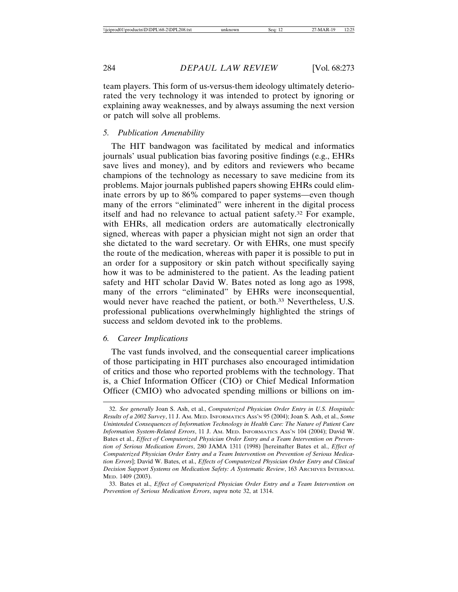team players. This form of us-versus-them ideology ultimately deteriorated the very technology it was intended to protect by ignoring or explaining away weaknesses, and by always assuming the next version or patch will solve all problems.

#### *5. Publication Amenability*

The HIT bandwagon was facilitated by medical and informatics journals' usual publication bias favoring positive findings (e.g., EHRs save lives and money), and by editors and reviewers who became champions of the technology as necessary to save medicine from its problems. Major journals published papers showing EHRs could eliminate errors by up to 86% compared to paper systems—even though many of the errors "eliminated" were inherent in the digital process itself and had no relevance to actual patient safety.32 For example, with EHRs, all medication orders are automatically electronically signed, whereas with paper a physician might not sign an order that she dictated to the ward secretary. Or with EHRs, one must specify the route of the medication, whereas with paper it is possible to put in an order for a suppository or skin patch without specifically saying how it was to be administered to the patient. As the leading patient safety and HIT scholar David W. Bates noted as long ago as 1998, many of the errors "eliminated" by EHRs were inconsequential, would never have reached the patient, or both.33 Nevertheless, U.S. professional publications overwhelmingly highlighted the strings of success and seldom devoted ink to the problems.

# *6. Career Implications*

The vast funds involved, and the consequential career implications of those participating in HIT purchases also encouraged intimidation of critics and those who reported problems with the technology. That is, a Chief Information Officer (CIO) or Chief Medical Information Officer (CMIO) who advocated spending millions or billions on im-

<sup>32.</sup> *See generally* Joan S. Ash, et al., *Computerized Physician Order Entry in U.S. Hospitals: Results of a 2002 Survey*, 11 J. AM. MED. INFORMATICS ASS'N 95 (2004); Joan S. Ash, et al., *Some Unintended Consequences of Information Technology in Health Care: The Nature of Patient Care Information System-Related Errors*, 11 J. AM. MED. INFORMATICS ASS'N 104 (2004); David W. Bates et al., *Effect of Computerized Physician Order Entry and a Team Intervention on Prevention of Serious Medication Errors*, 280 JAMA 1311 (1998) [hereinafter Bates et al., *Effect of Computerized Physician Order Entry and a Team Intervention on Prevention of Serious Medication Errors*]; David W. Bates, et al., *Effects of Computerized Physician Order Entry and Clinical Decision Support Systems on Medication Safety: A Systematic Review*, 163 ARCHIVES INTERNAL MED. 1409 (2003).

<sup>33.</sup> Bates et al., *Effect of Computerized Physician Order Entry and a Team Intervention on Prevention of Serious Medication Errors*, *supra* note 32, at 1314.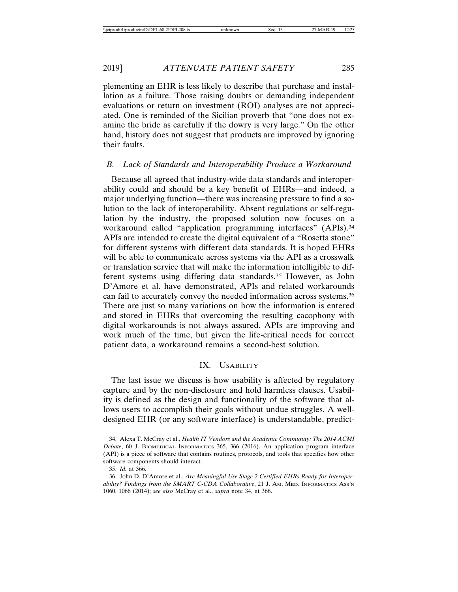plementing an EHR is less likely to describe that purchase and installation as a failure. Those raising doubts or demanding independent evaluations or return on investment (ROI) analyses are not appreciated. One is reminded of the Sicilian proverb that "one does not examine the bride as carefully if the dowry is very large." On the other hand, history does not suggest that products are improved by ignoring their faults.

# *B. Lack of Standards and Interoperability Produce a Workaround*

Because all agreed that industry-wide data standards and interoperability could and should be a key benefit of EHRs—and indeed, a major underlying function—there was increasing pressure to find a solution to the lack of interoperability. Absent regulations or self-regulation by the industry, the proposed solution now focuses on a workaround called "application programming interfaces" (APIs).<sup>34</sup> APIs are intended to create the digital equivalent of a "Rosetta stone" for different systems with different data standards. It is hoped EHRs will be able to communicate across systems via the API as a crosswalk or translation service that will make the information intelligible to different systems using differing data standards.35 However, as John D'Amore et al. have demonstrated, APIs and related workarounds can fail to accurately convey the needed information across systems.36 There are just so many variations on how the information is entered and stored in EHRs that overcoming the resulting cacophony with digital workarounds is not always assured. APIs are improving and work much of the time, but given the life-critical needs for correct patient data, a workaround remains a second-best solution.

# IX. USABILITY

The last issue we discuss is how usability is affected by regulatory capture and by the non-disclosure and hold harmless clauses. Usability is defined as the design and functionality of the software that allows users to accomplish their goals without undue struggles. A welldesigned EHR (or any software interface) is understandable, predict-

<sup>34.</sup> Alexa T. McCray et al., *Health IT Vendors and the Academic Community: The 2014 ACMI Debate*, 60 J. BIOMEDICAL INFORMATICS 365, 366 (2016). An application program interface (API) is a piece of software that contains routines, protocols, and tools that specifies how other software components should interact.

<sup>35.</sup> *Id.* at 366.

<sup>36.</sup> John D. D'Amore et al., *Are Meaningful Use Stage 2 Certified EHRs Ready for Interoperability? Findings from the SMART C-CDA Collaborative*, 21 J. AM. MED. INFORMATICS ASS'N 1060, 1066 (2014); *see also* McCray et al., *supra* note 34, at 366.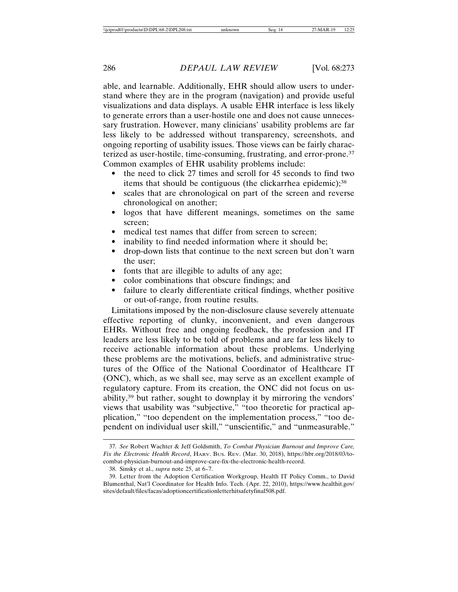able, and learnable. Additionally, EHR should allow users to understand where they are in the program (navigation) and provide useful visualizations and data displays. A usable EHR interface is less likely to generate errors than a user-hostile one and does not cause unnecessary frustration. However, many clinicians' usability problems are far less likely to be addressed without transparency, screenshots, and ongoing reporting of usability issues. Those views can be fairly characterized as user-hostile, time-consuming, frustrating, and error-prone.37 Common examples of EHR usability problems include:

- the need to click 27 times and scroll for 45 seconds to find two items that should be contiguous (the clickarrhea epidemic);<sup>38</sup>
- scales that are chronological on part of the screen and reverse chronological on another;
- logos that have different meanings, sometimes on the same screen;
- medical test names that differ from screen to screen;
- inability to find needed information where it should be;
- drop-down lists that continue to the next screen but don't warn the user;
- fonts that are illegible to adults of any age;
- color combinations that obscure findings; and
- failure to clearly differentiate critical findings, whether positive or out-of-range, from routine results.

Limitations imposed by the non-disclosure clause severely attenuate effective reporting of clunky, inconvenient, and even dangerous EHRs. Without free and ongoing feedback, the profession and IT leaders are less likely to be told of problems and are far less likely to receive actionable information about these problems. Underlying these problems are the motivations, beliefs, and administrative structures of the Office of the National Coordinator of Healthcare IT (ONC), which, as we shall see, may serve as an excellent example of regulatory capture. From its creation, the ONC did not focus on usability,39 but rather, sought to downplay it by mirroring the vendors' views that usability was "subjective," "too theoretic for practical application," "too dependent on the implementation process," "too dependent on individual user skill," "unscientific," and "unmeasurable."

<sup>37.</sup> *See* Robert Wachter & Jeff Goldsmith, *To Combat Physician Burnout and Improve Care, Fix the Electronic Health Record*, HARV. BUS. REV. (Mar. 30, 2018), https://hbr.org/2018/03/tocombat-physician-burnout-and-improve-care-fix-the-electronic-health-record.

<sup>38.</sup> Sinsky et al., *supra* note 25, at 6–7.

<sup>39.</sup> Letter from the Adoption Certification Workgroup, Health IT Policy Comm., to David Blumenthal, Nat'l Coordinator for Health Info. Tech. (Apr. 22, 2010), https://www.healthit.gov/ sites/default/files/facas/adoptioncertificationletterhitsafetyfinal508.pdf.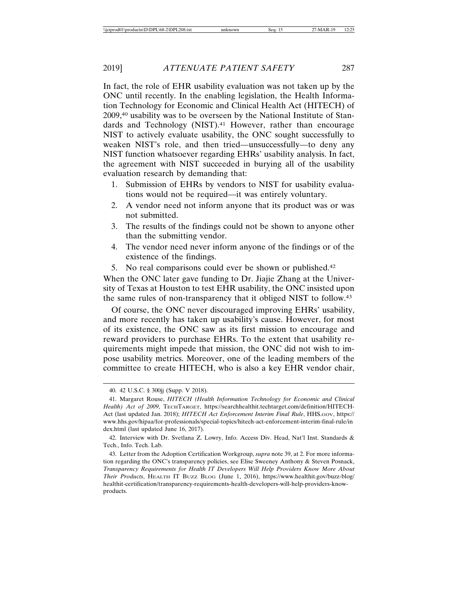In fact, the role of EHR usability evaluation was not taken up by the ONC until recently. In the enabling legislation, the Health Information Technology for Economic and Clinical Health Act (HITECH) of 2009,40 usability was to be overseen by the National Institute of Standards and Technology (NIST).<sup>41</sup> However, rather than encourage NIST to actively evaluate usability, the ONC sought successfully to weaken NIST's role, and then tried—unsuccessfully—to deny any NIST function whatsoever regarding EHRs' usability analysis. In fact, the agreement with NIST succeeded in burying all of the usability evaluation research by demanding that:

- 1. Submission of EHRs by vendors to NIST for usability evaluations would not be required—it was entirely voluntary.
- 2. A vendor need not inform anyone that its product was or was not submitted.
- 3. The results of the findings could not be shown to anyone other than the submitting vendor.
- 4. The vendor need never inform anyone of the findings or of the existence of the findings.
- 5. No real comparisons could ever be shown or published.42

When the ONC later gave funding to Dr. Jiajie Zhang at the University of Texas at Houston to test EHR usability, the ONC insisted upon the same rules of non-transparency that it obliged NIST to follow.43

Of course, the ONC never discouraged improving EHRs' usability, and more recently has taken up usability's cause. However, for most of its existence, the ONC saw as its first mission to encourage and reward providers to purchase EHRs. To the extent that usability requirements might impede that mission, the ONC did not wish to impose usability metrics. Moreover, one of the leading members of the committee to create HITECH, who is also a key EHR vendor chair,

<sup>40. 42</sup> U.S.C. § 300jj (Supp. V 2018).

<sup>41.</sup> Margaret Rouse, *HITECH (Health Information Technology for Economic and Clinical Health) Act of 2009*, TECHTARGET, https://searchhealthit.techtarget.com/definition/HITECH-Act (last updated Jan. 2018); *HITECH Act Enforcement Interim Final Rule*, HHS.GOV, https:// www.hhs.gov/hipaa/for-professionals/special-topics/hitech-act-enforcement-interim-final-rule/in dex.html (last updated June 16, 2017).

<sup>42.</sup> Interview with Dr. Svetlana Z. Lowry, Info. Access Div. Head, Nat'l Inst. Standards & Tech., Info. Tech. Lab.

<sup>43.</sup> Letter from the Adoption Certification Workgroup, *supra* note 39, at 2. For more information regarding the ONC's transparency policies, see Elise Sweeney Anthony & Steven Posnack, *Transparency Requirements for Health IT Developers Will Help Providers Know More About Their Products*, HEALTH IT BUZZ BLOG (June 1, 2016), https://www.healthit.gov/buzz-blog/ healthit-certification/transparency-requirements-health-developers-will-help-providers-knowproducts.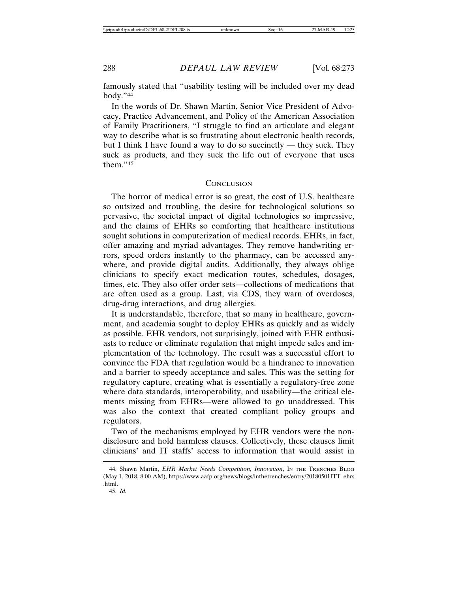famously stated that "usability testing will be included over my dead body."44

In the words of Dr. Shawn Martin, Senior Vice President of Advocacy, Practice Advancement, and Policy of the American Association of Family Practitioners, "I struggle to find an articulate and elegant way to describe what is so frustrating about electronic health records, but I think I have found a way to do so succinctly — they suck. They suck as products, and they suck the life out of everyone that uses them."45

#### **CONCLUSION**

The horror of medical error is so great, the cost of U.S. healthcare so outsized and troubling, the desire for technological solutions so pervasive, the societal impact of digital technologies so impressive, and the claims of EHRs so comforting that healthcare institutions sought solutions in computerization of medical records. EHRs, in fact, offer amazing and myriad advantages. They remove handwriting errors, speed orders instantly to the pharmacy, can be accessed anywhere, and provide digital audits. Additionally, they always oblige clinicians to specify exact medication routes, schedules, dosages, times, etc. They also offer order sets—collections of medications that are often used as a group. Last, via CDS, they warn of overdoses, drug-drug interactions, and drug allergies.

It is understandable, therefore, that so many in healthcare, government, and academia sought to deploy EHRs as quickly and as widely as possible. EHR vendors, not surprisingly, joined with EHR enthusiasts to reduce or eliminate regulation that might impede sales and implementation of the technology. The result was a successful effort to convince the FDA that regulation would be a hindrance to innovation and a barrier to speedy acceptance and sales. This was the setting for regulatory capture, creating what is essentially a regulatory-free zone where data standards, interoperability, and usability—the critical elements missing from EHRs—were allowed to go unaddressed. This was also the context that created compliant policy groups and regulators.

Two of the mechanisms employed by EHR vendors were the nondisclosure and hold harmless clauses. Collectively, these clauses limit clinicians' and IT staffs' access to information that would assist in

<sup>44.</sup> Shawn Martin, *EHR Market Needs Competition, Innovation*, IN THE TRENCHES BLOG (May 1, 2018, 8:00 AM), https://www.aafp.org/news/blogs/inthetrenches/entry/20180501ITT\_ehrs .html.

<sup>45.</sup> *Id.*